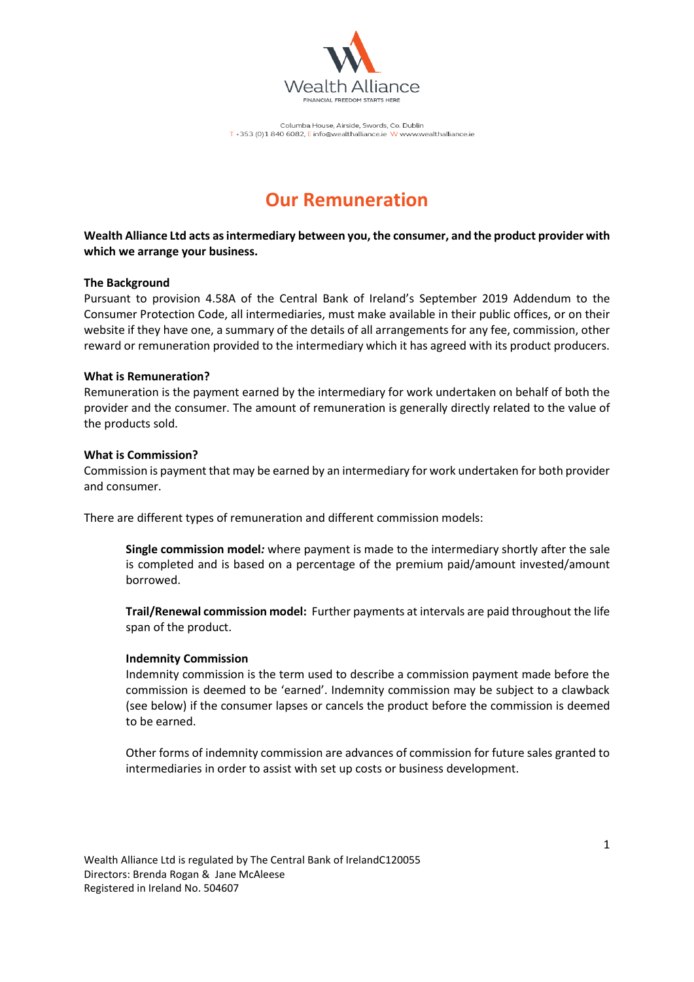

Columba House, Airside, Swords, Co. Dublin T+353 (0)1 840 6082, E info@wealthalliance.ie W www.wealthalliance.ie

# **Our Remuneration**

**Wealth Alliance Ltd acts as intermediary between you, the consumer, and the product provider with which we arrange your business.**

### **The Background**

Pursuant to provision 4.58A of the Central Bank of Ireland's September 2019 Addendum to the Consumer Protection Code, all intermediaries, must make available in their public offices, or on their website if they have one, a summary of the details of all arrangements for any fee, commission, other reward or remuneration provided to the intermediary which it has agreed with its product producers.

### **What is Remuneration?**

Remuneration is the payment earned by the intermediary for work undertaken on behalf of both the provider and the consumer. The amount of remuneration is generally directly related to the value of the products sold.

### **What is Commission?**

Commission is payment that may be earned by an intermediary for work undertaken for both provider and consumer.

There are different types of remuneration and different commission models:

**Single commission model***:* where payment is made to the intermediary shortly after the sale is completed and is based on a percentage of the premium paid/amount invested/amount borrowed.

**Trail/Renewal commission model:** Further payments at intervals are paid throughout the life span of the product.

#### **Indemnity Commission**

Indemnity commission is the term used to describe a commission payment made before the commission is deemed to be 'earned'. Indemnity commission may be subject to a clawback (see below) if the consumer lapses or cancels the product before the commission is deemed to be earned.

Other forms of indemnity commission are advances of commission for future sales granted to intermediaries in order to assist with set up costs or business development.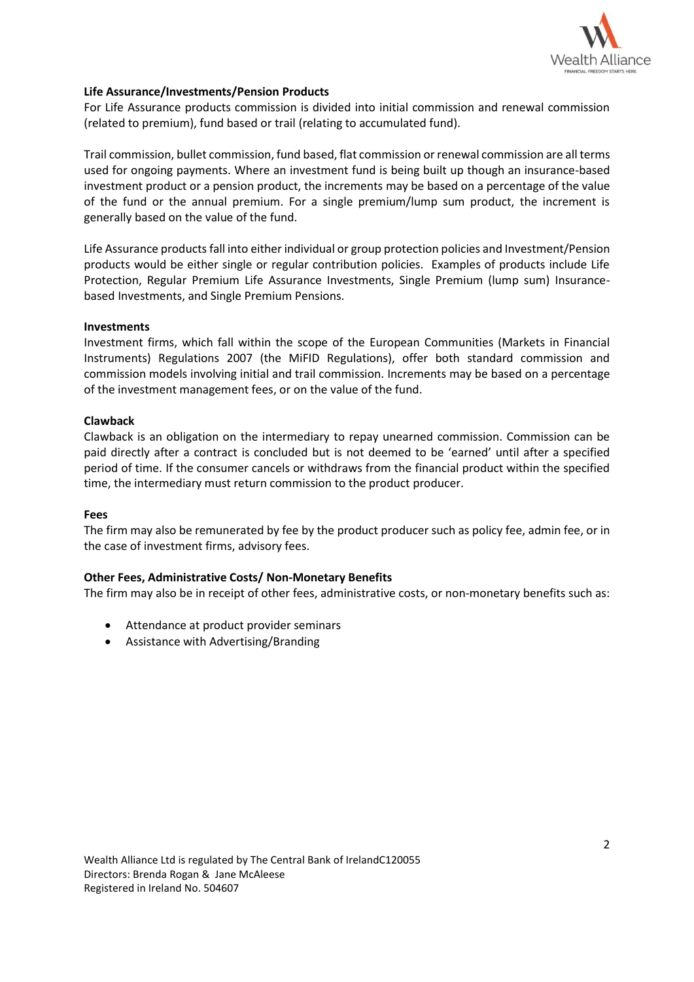

### **Life Assurance/Investments/Pension Products**

For Life Assurance products commission is divided into initial commission and renewal commission (related to premium), fund based or trail (relating to accumulated fund).

Trail commission, bullet commission, fund based, flat commission orrenewal commission are all terms used for ongoing payments. Where an investment fund is being built up though an insurance-based investment product or a pension product, the increments may be based on a percentage of the value of the fund or the annual premium. For a single premium/lump sum product, the increment is generally based on the value of the fund.

Life Assurance products fall into either individual or group protection policies and Investment/Pension products would be either single or regular contribution policies. Examples of products include Life Protection, Regular Premium Life Assurance Investments, Single Premium (lump sum) Insurancebased Investments, and Single Premium Pensions.

#### **Investments**

Investment firms, which fall within the scope of the European Communities (Markets in Financial Instruments) Regulations 2007 (the MiFID Regulations), offer both standard commission and commission models involving initial and trail commission. Increments may be based on a percentage of the investment management fees, or on the value of the fund.

### **Clawback**

Clawback is an obligation on the intermediary to repay unearned commission. Commission can be paid directly after a contract is concluded but is not deemed to be 'earned' until after a specified period of time. If the consumer cancels or withdraws from the financial product within the specified time, the intermediary must return commission to the product producer.

#### **Fees**

The firm may also be remunerated by fee by the product producer such as policy fee, admin fee, or in the case of investment firms, advisory fees.

### **Other Fees, Administrative Costs/ Non-Monetary Benefits**

The firm may also be in receipt of other fees, administrative costs, or non-monetary benefits such as:

- Attendance at product provider seminars
- Assistance with Advertising/Branding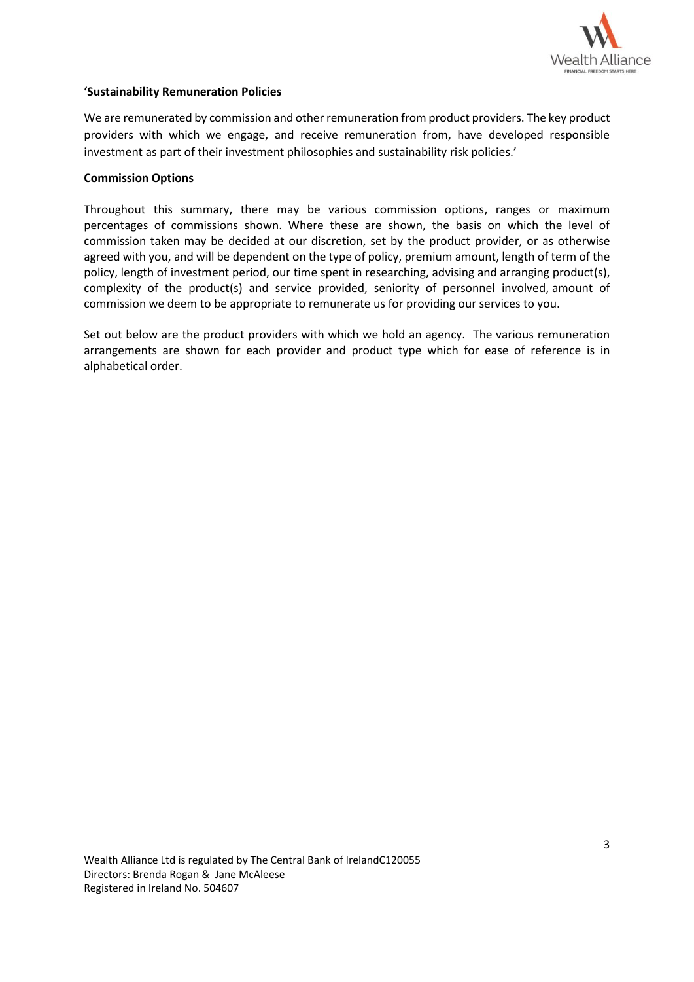

### **'Sustainability Remuneration Policies**

We are remunerated by commission and other remuneration from product providers. The key product providers with which we engage, and receive remuneration from, have developed responsible investment as part of their investment philosophies and sustainability risk policies.'

### **Commission Options**

Throughout this summary, there may be various commission options, ranges or maximum percentages of commissions shown. Where these are shown, the basis on which the level of commission taken may be decided at our discretion, set by the product provider, or as otherwise agreed with you, and will be dependent on the type of policy, premium amount, length of term of the policy, length of investment period, our time spent in researching, advising and arranging product(s), complexity of the product(s) and service provided, seniority of personnel involved, amount of commission we deem to be appropriate to remunerate us for providing our services to you.

Set out below are the product providers with which we hold an agency. The various remuneration arrangements are shown for each provider and product type which for ease of reference is in alphabetical order.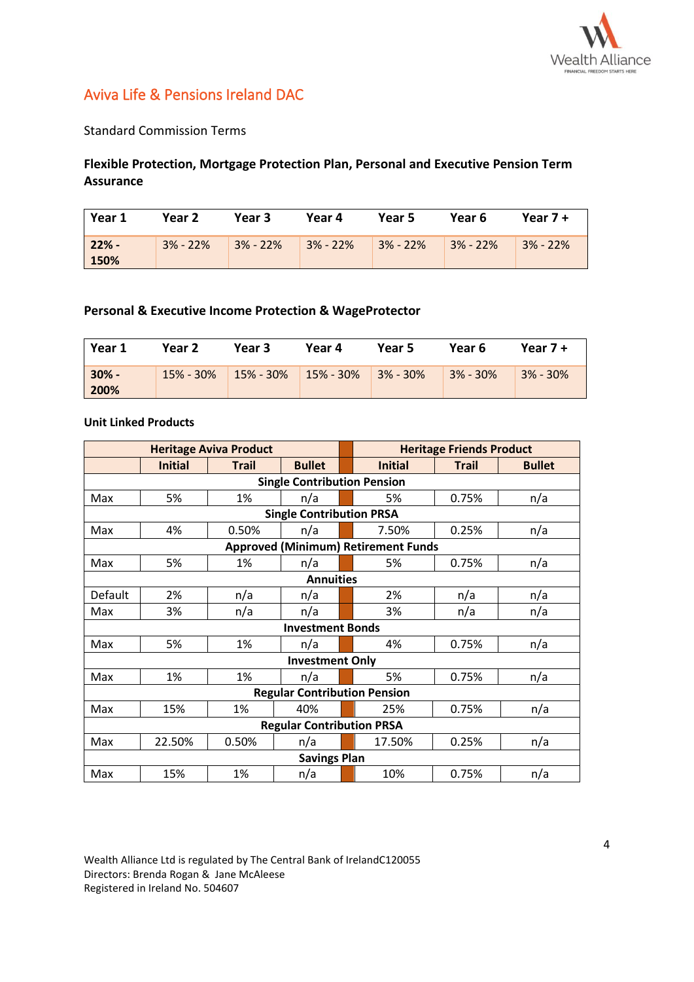

# Aviva Life & Pensions Ireland DAC

Standard Commission Terms

### **Flexible Protection, Mortgage Protection Plan, Personal and Executive Pension Term Assurance**

| Year 1          | Year 2     | Year 3     | Year 4       | Year 5     | Year 6     | Year $7 +$   |
|-----------------|------------|------------|--------------|------------|------------|--------------|
| $22% -$<br>150% | $3% - 22%$ | $3% - 22%$ | $3\% - 22\%$ | $3% - 22%$ | $3% - 22%$ | $3\% - 22\%$ |

### **Personal & Executive Income Protection & WageProtector**

| Year 1          | Year 2 | Year 3                                     | Year 4 | Year 5 | Year 6     | Year $7 +$ |
|-----------------|--------|--------------------------------------------|--------|--------|------------|------------|
| $30% -$<br>200% |        | $15\% - 30\%$ 15% - 30% 15% - 30% 3% - 30% |        |        | $3% - 30%$ | $3% - 30%$ |

### **Unit Linked Products**

| <b>Heritage Aviva Product</b>      |                |              |                                     | <b>Heritage Friends Product</b> |                                            |              |               |
|------------------------------------|----------------|--------------|-------------------------------------|---------------------------------|--------------------------------------------|--------------|---------------|
|                                    | <b>Initial</b> | <b>Trail</b> | <b>Bullet</b>                       |                                 | <b>Initial</b>                             | <b>Trail</b> | <b>Bullet</b> |
| <b>Single Contribution Pension</b> |                |              |                                     |                                 |                                            |              |               |
| Max                                | 5%             | 1%           | n/a                                 |                                 | 5%                                         | 0.75%        | n/a           |
|                                    |                |              | <b>Single Contribution PRSA</b>     |                                 |                                            |              |               |
| Max                                | 4%             | 0.50%        | n/a                                 |                                 | 7.50%                                      | 0.25%        | n/a           |
|                                    |                |              |                                     |                                 | <b>Approved (Minimum) Retirement Funds</b> |              |               |
| Max                                | 5%             | 1%           | n/a                                 |                                 | 5%                                         | 0.75%        | n/a           |
| <b>Annuities</b>                   |                |              |                                     |                                 |                                            |              |               |
| Default                            | 2%             | n/a          | n/a                                 |                                 | 2%                                         | n/a          | n/a           |
| Max                                | 3%             | n/a          | n/a                                 |                                 | 3%                                         | n/a          | n/a           |
|                                    |                |              | <b>Investment Bonds</b>             |                                 |                                            |              |               |
| Max                                | 5%             | 1%           | n/a                                 |                                 | 4%                                         | 0.75%        | n/a           |
|                                    |                |              | <b>Investment Only</b>              |                                 |                                            |              |               |
| Max                                | 1%             | 1%           | n/a                                 |                                 | 5%                                         | 0.75%        | n/a           |
|                                    |                |              | <b>Regular Contribution Pension</b> |                                 |                                            |              |               |
| Max                                | 15%            | 1%           | 40%                                 |                                 | 25%                                        | 0.75%        | n/a           |
|                                    |                |              | <b>Regular Contribution PRSA</b>    |                                 |                                            |              |               |
| Max                                | 22.50%         | 0.50%        | n/a                                 |                                 | 17.50%                                     | 0.25%        | n/a           |
|                                    |                |              | <b>Savings Plan</b>                 |                                 |                                            |              |               |
| Max                                | 15%            | 1%           | n/a                                 |                                 | 10%                                        | 0.75%        | n/a           |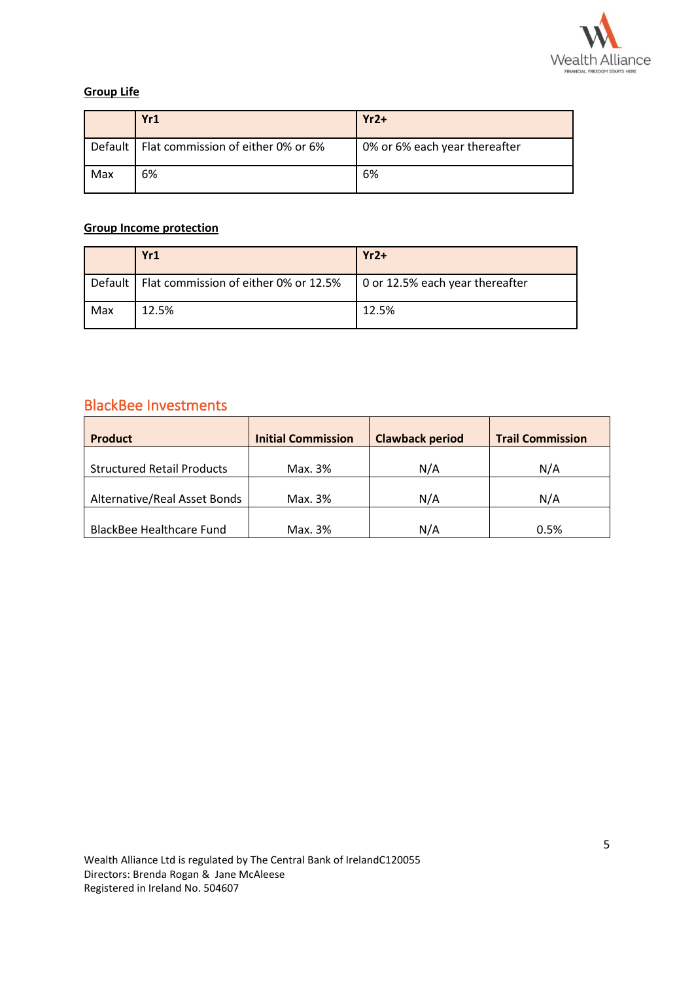

### **Group Life**

|     | Yr1                                          | $Yr2+$                        |
|-----|----------------------------------------------|-------------------------------|
|     | Default   Flat commission of either 0% or 6% | 0% or 6% each year thereafter |
| Max | 6%                                           | 6%                            |

## **Group Income protection**

|     | Yr1                                                                               | $Yr2+$ |
|-----|-----------------------------------------------------------------------------------|--------|
|     | Default   Flat commission of either 0% or 12.5%   0 or 12.5% each year thereafter |        |
| Max | 12.5%                                                                             | 12.5%  |

# BlackBee Investments

| <b>Product</b>                    | <b>Initial Commission</b> | <b>Clawback period</b> | <b>Trail Commission</b> |
|-----------------------------------|---------------------------|------------------------|-------------------------|
|                                   |                           |                        |                         |
| <b>Structured Retail Products</b> | Max. 3%                   | N/A                    | N/A                     |
| Alternative/Real Asset Bonds      | Max. 3%                   | N/A                    | N/A                     |
|                                   |                           |                        |                         |
| <b>BlackBee Healthcare Fund</b>   | Max. 3%                   | N/A                    | 0.5%                    |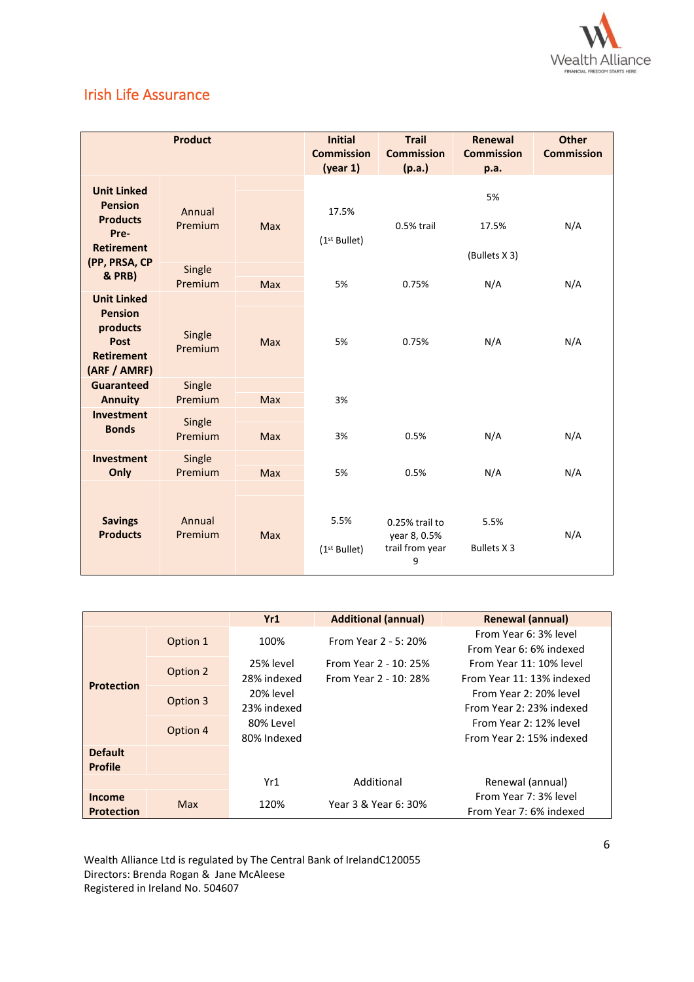

# Irish Life Assurance

| <b>Product</b>                                                                                       |                   | <b>Initial</b><br><b>Commission</b><br>(year 1) | <b>Trail</b><br><b>Commission</b><br>(p.a.) | Renewal<br><b>Commission</b><br>p.a.                   | <b>Other</b><br><b>Commission</b> |     |
|------------------------------------------------------------------------------------------------------|-------------------|-------------------------------------------------|---------------------------------------------|--------------------------------------------------------|-----------------------------------|-----|
| <b>Unit Linked</b><br><b>Pension</b><br><b>Products</b><br>Pre-<br><b>Retirement</b>                 | Annual<br>Premium | Max                                             | 17.5%<br>(1 <sup>st</sup> Bullet)           | 0.5% trail                                             | 5%<br>17.5%<br>(Bullets X 3)      | N/A |
| (PP, PRSA, CP<br><b>&amp; PRB)</b>                                                                   | Single<br>Premium | Max                                             | 5%                                          | 0.75%                                                  | N/A                               | N/A |
| <b>Unit Linked</b><br><b>Pension</b><br>products<br><b>Post</b><br><b>Retirement</b><br>(ARF / AMRF) | Single<br>Premium | Max                                             | 5%                                          | 0.75%                                                  | N/A                               | N/A |
| Guaranteed<br><b>Annuity</b>                                                                         | Single<br>Premium | <b>Max</b>                                      | 3%                                          |                                                        |                                   |     |
| Investment<br><b>Bonds</b>                                                                           | Single<br>Premium | Max                                             | 3%                                          | 0.5%                                                   | N/A                               | N/A |
| Investment<br>Only                                                                                   | Single<br>Premium | Max                                             | 5%                                          | 0.5%                                                   | N/A                               | N/A |
| <b>Savings</b><br><b>Products</b>                                                                    | Annual<br>Premium | <b>Max</b>                                      | 5.5%<br>$(1st$ Bullet)                      | 0.25% trail to<br>year 8, 0.5%<br>trail from year<br>9 | 5.5%<br><b>Bullets X3</b>         | N/A |

|                                    |            | Yr1                      | <b>Additional (annual)</b>                     | <b>Renewal (annual)</b>                              |
|------------------------------------|------------|--------------------------|------------------------------------------------|------------------------------------------------------|
|                                    | Option 1   | 100%                     | From Year 2 - 5: 20%                           | From Year 6: 3% level<br>From Year 6: 6% indexed     |
| <b>Protection</b>                  | Option 2   | 25% level<br>28% indexed | From Year 2 - 10: 25%<br>From Year 2 - 10: 28% | From Year 11: 10% level<br>From Year 11: 13% indexed |
|                                    | Option 3   | 20% level<br>23% indexed |                                                | From Year 2: 20% level<br>From Year 2: 23% indexed   |
|                                    | Option 4   | 80% Level<br>80% Indexed |                                                | From Year 2: 12% level<br>From Year 2: 15% indexed   |
| <b>Default</b><br><b>Profile</b>   |            |                          |                                                |                                                      |
|                                    |            | Yr1                      | Additional                                     | Renewal (annual)                                     |
| <b>Income</b><br><b>Protection</b> | <b>Max</b> | 120%                     | Year 3 & Year 6: 30%                           | From Year 7: 3% level<br>From Year 7: 6% indexed     |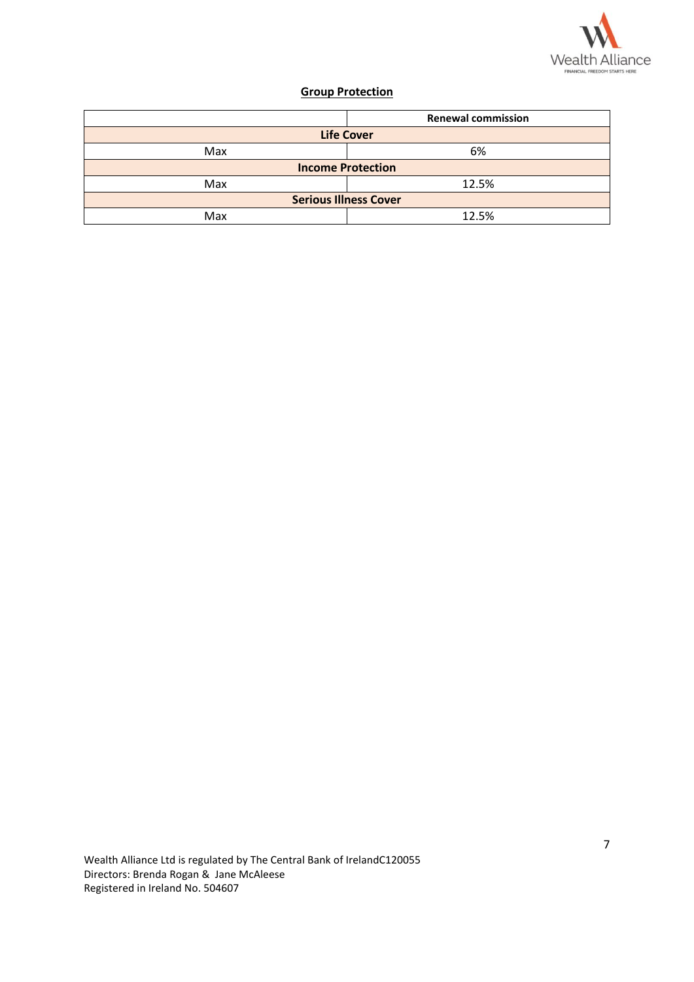

## **Group Protection**

|                              | <b>Renewal commission</b> |  |  |  |
|------------------------------|---------------------------|--|--|--|
|                              | <b>Life Cover</b>         |  |  |  |
| Max                          | 6%                        |  |  |  |
| <b>Income Protection</b>     |                           |  |  |  |
| Max                          | 12.5%                     |  |  |  |
| <b>Serious Illness Cover</b> |                           |  |  |  |
| Max                          | 12.5%                     |  |  |  |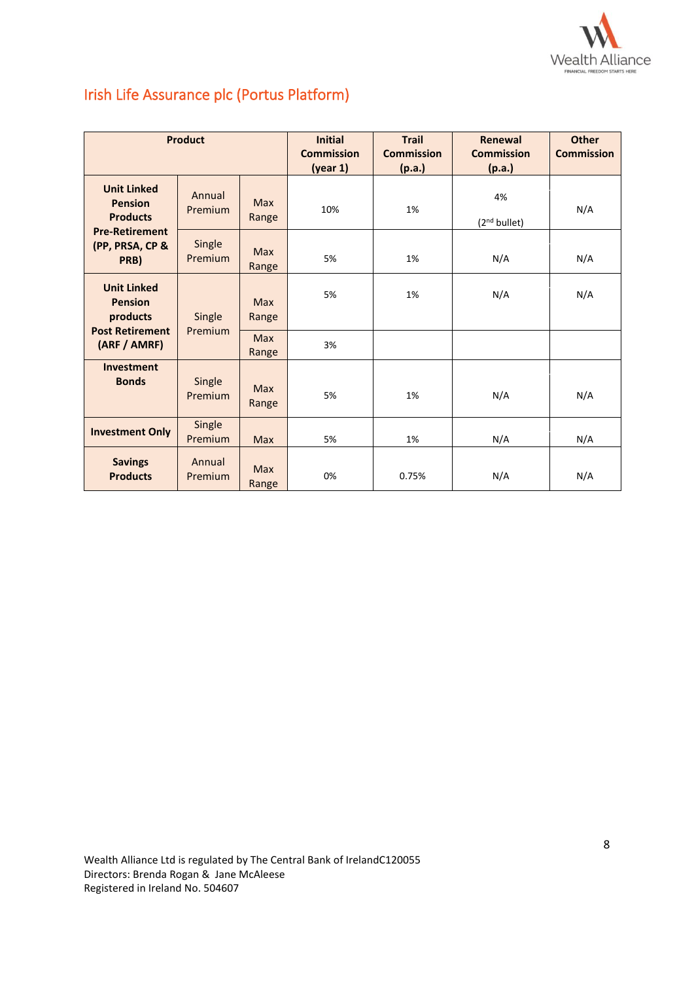

# Irish Life Assurance plc (Portus Platform)

| <b>Product</b>                                          |                   | <b>Initial</b><br><b>Commission</b><br>(year 1) | <b>Trail</b><br><b>Commission</b><br>(p.a.) | Renewal<br><b>Commission</b><br>(p.a.) | <b>Other</b><br><b>Commission</b> |     |
|---------------------------------------------------------|-------------------|-------------------------------------------------|---------------------------------------------|----------------------------------------|-----------------------------------|-----|
| <b>Unit Linked</b><br><b>Pension</b><br><b>Products</b> | Annual<br>Premium | <b>Max</b><br>Range                             | 10%                                         | 1%                                     | 4%<br>(2 <sup>nd</sup> bullet)    | N/A |
| <b>Pre-Retirement</b><br>(PP, PRSA, CP &<br>PRB)        | Single<br>Premium | <b>Max</b><br>Range                             | 5%                                          | 1%                                     | N/A                               | N/A |
| <b>Unit Linked</b><br><b>Pension</b><br>products        | Single            | <b>Max</b><br>Range                             | 5%                                          | 1%                                     | N/A                               | N/A |
| <b>Post Retirement</b><br>(ARF / AMRF)                  | Premium           | <b>Max</b><br>Range                             | 3%                                          |                                        |                                   |     |
| <b>Investment</b><br><b>Bonds</b>                       | Single<br>Premium | <b>Max</b><br>Range                             | 5%                                          | 1%                                     | N/A                               | N/A |
| <b>Investment Only</b>                                  | Single<br>Premium | <b>Max</b>                                      | 5%                                          | 1%                                     | N/A                               | N/A |
| <b>Savings</b><br><b>Products</b>                       | Annual<br>Premium | <b>Max</b><br>Range                             | 0%                                          | 0.75%                                  | N/A                               | N/A |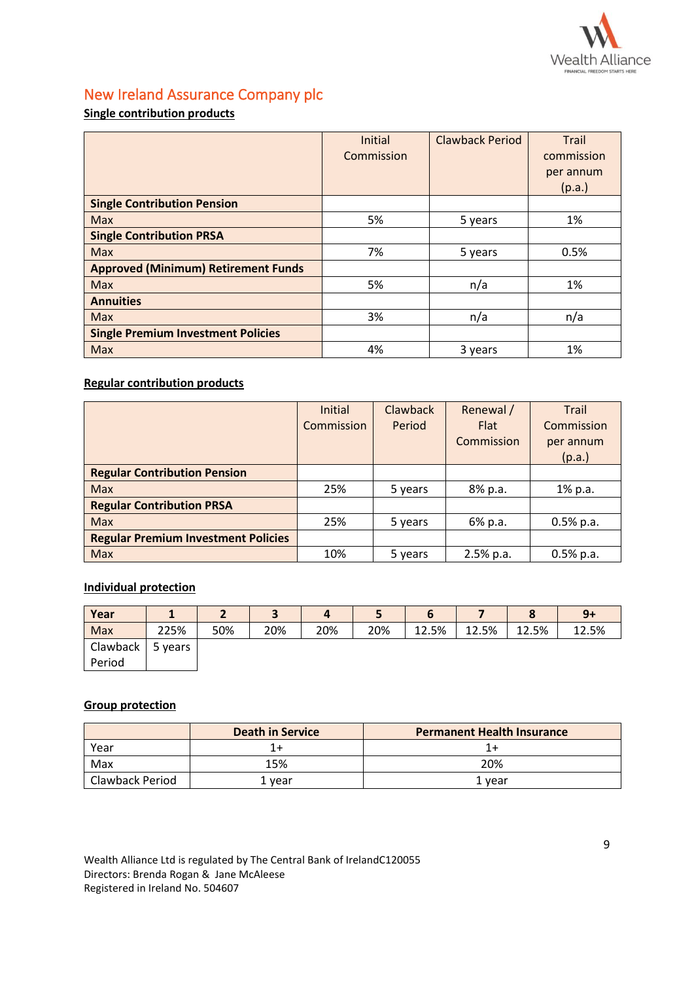

# New Ireland Assurance Company plc

## **Single contribution products**

|                                            | <b>Initial</b> | <b>Clawback Period</b> | <b>Trail</b> |
|--------------------------------------------|----------------|------------------------|--------------|
|                                            | Commission     |                        | commission   |
|                                            |                |                        | per annum    |
|                                            |                |                        | (p.a.)       |
| <b>Single Contribution Pension</b>         |                |                        |              |
| <b>Max</b>                                 | 5%             | 5 years                | 1%           |
| <b>Single Contribution PRSA</b>            |                |                        |              |
| <b>Max</b>                                 | 7%             | 5 years                | 0.5%         |
| <b>Approved (Minimum) Retirement Funds</b> |                |                        |              |
| <b>Max</b>                                 | 5%             | n/a                    | 1%           |
| <b>Annuities</b>                           |                |                        |              |
| <b>Max</b>                                 | 3%             | n/a                    | n/a          |
| <b>Single Premium Investment Policies</b>  |                |                        |              |
| Max                                        | 4%             | 3 years                | 1%           |

### **Regular contribution products**

|                                            | Initial    | <b>Clawback</b> | Renewal /   | Trail       |
|--------------------------------------------|------------|-----------------|-------------|-------------|
|                                            | Commission | Period          | Flat        | Commission  |
|                                            |            |                 | Commission  | per annum   |
|                                            |            |                 |             | (p.a.)      |
| <b>Regular Contribution Pension</b>        |            |                 |             |             |
| <b>Max</b>                                 | 25%        | 5 years         | 8% p.a.     | 1% p.a.     |
| <b>Regular Contribution PRSA</b>           |            |                 |             |             |
| <b>Max</b>                                 | 25%        | 5 years         | 6% p.a.     | $0.5%$ p.a. |
| <b>Regular Premium Investment Policies</b> |            |                 |             |             |
| <b>Max</b>                                 | 10%        | 5 years         | $2.5%$ p.a. | $0.5%$ p.a. |

### **Individual protection**

| Year     |         |     | ∍<br>э | 4   |     | O     |       | o     | $9+$  |
|----------|---------|-----|--------|-----|-----|-------|-------|-------|-------|
| Max      | 225%    | 50% | 20%    | 20% | 20% | 12.5% | 12.5% | 12.5% | 12.5% |
| Clawback | 5 years |     |        |     |     |       |       |       |       |
| Period   |         |     |        |     |     |       |       |       |       |

### **Group protection**

|                 | <b>Death in Service</b> | <b>Permanent Health Insurance</b> |
|-----------------|-------------------------|-----------------------------------|
| Year            |                         |                                   |
| Max             | 15%                     | 20%                               |
| Clawback Period | l vear                  | 1 vear                            |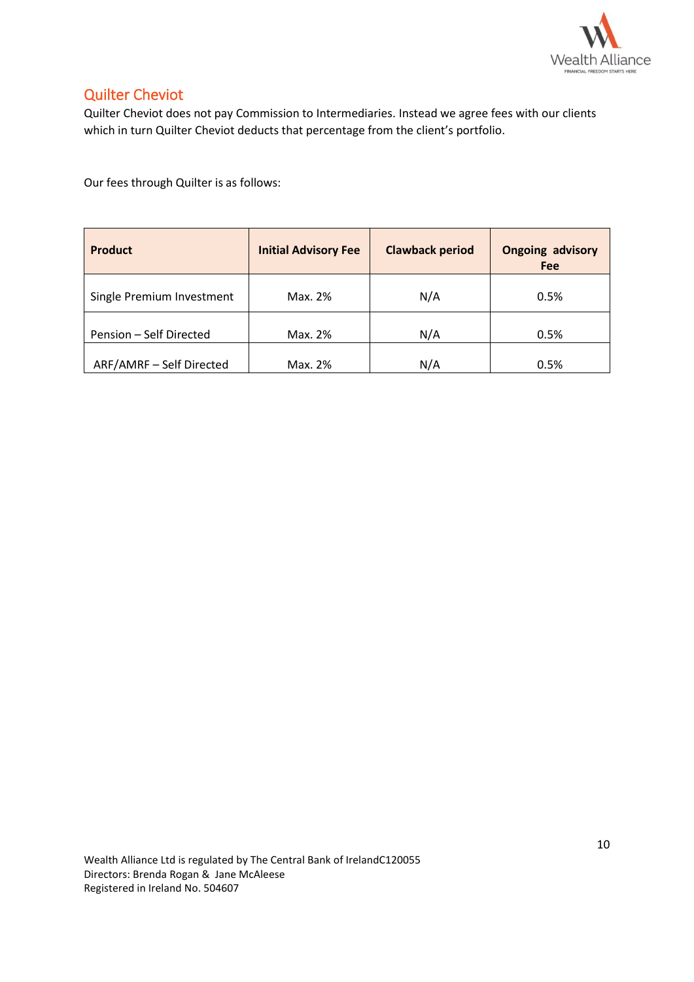

# Quilter Cheviot

Quilter Cheviot does not pay Commission to Intermediaries. Instead we agree fees with our clients which in turn Quilter Cheviot deducts that percentage from the client's portfolio.

Our fees through Quilter is as follows:

| <b>Product</b>            | <b>Initial Advisory Fee</b> | <b>Clawback period</b> | <b>Ongoing advisory</b><br><b>Fee</b> |
|---------------------------|-----------------------------|------------------------|---------------------------------------|
| Single Premium Investment | Max. 2%                     | N/A                    | 0.5%                                  |
| Pension - Self Directed   | Max. 2%                     | N/A                    | 0.5%                                  |
| ARF/AMRF - Self Directed  | Max. 2%                     | N/A                    | 0.5%                                  |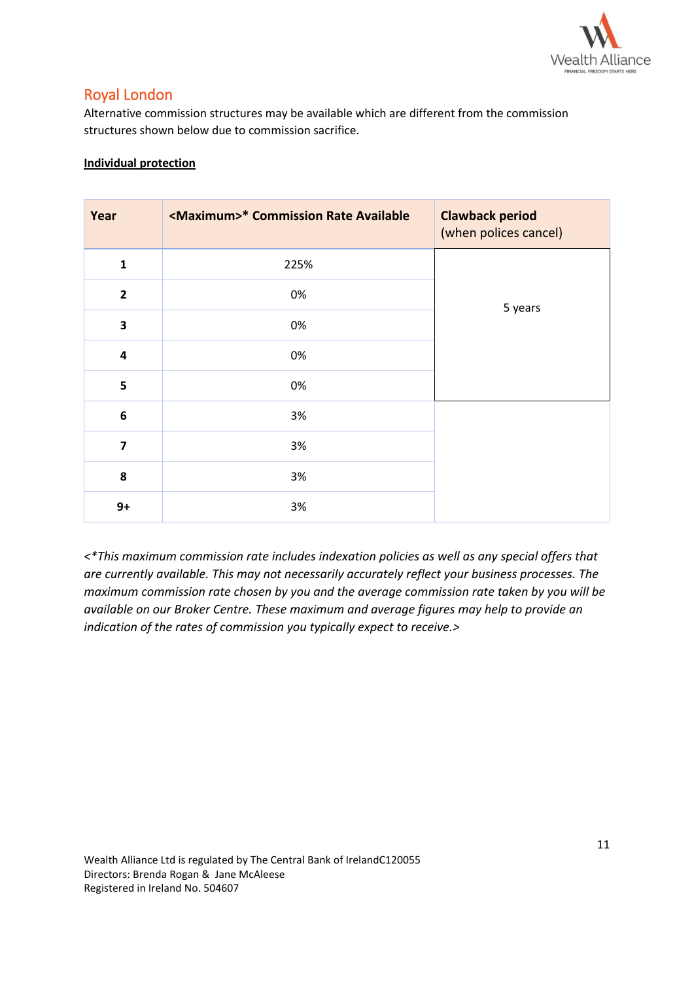

## Royal London

Alternative commission structures may be available which are different from the commission structures shown below due to commission sacrifice.

### **Individual protection**

| Year                    | <maximum>* Commission Rate Available</maximum> | <b>Clawback period</b><br>(when polices cancel) |
|-------------------------|------------------------------------------------|-------------------------------------------------|
| $\mathbf{1}$            | 225%                                           |                                                 |
| $\overline{2}$          | 0%                                             | 5 years                                         |
| 3                       | 0%                                             |                                                 |
| $\overline{\mathbf{4}}$ | 0%                                             |                                                 |
| 5                       | 0%                                             |                                                 |
| $\boldsymbol{6}$        | 3%                                             |                                                 |
| $\overline{7}$          | 3%                                             |                                                 |
| 8                       | 3%                                             |                                                 |
| $9+$                    | 3%                                             |                                                 |

*<\*This maximum commission rate includes indexation policies as well as any special offers that are currently available. This may not necessarily accurately reflect your business processes. The maximum commission rate chosen by you and the average commission rate taken by you will be available on our Broker Centre. These maximum and average figures may help to provide an indication of the rates of commission you typically expect to receive.>*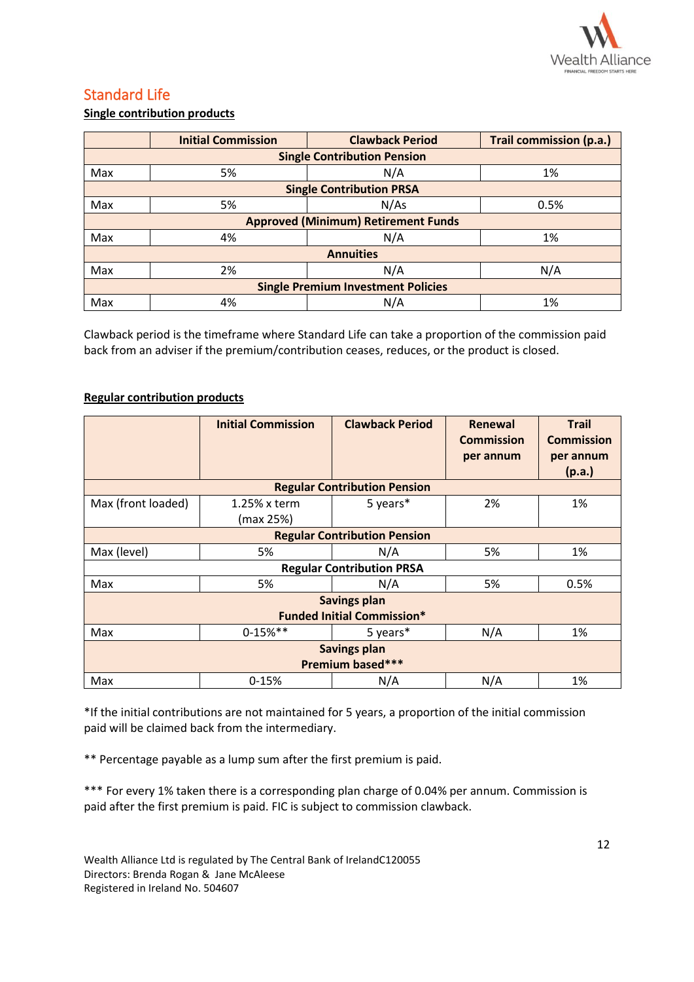

# Standard Life

### **Single contribution products**

|                                           | <b>Initial Commission</b>          | <b>Clawback Period</b>                     | Trail commission (p.a.) |  |  |  |
|-------------------------------------------|------------------------------------|--------------------------------------------|-------------------------|--|--|--|
|                                           | <b>Single Contribution Pension</b> |                                            |                         |  |  |  |
| Max                                       | 5%                                 | N/A                                        | 1%                      |  |  |  |
|                                           |                                    | <b>Single Contribution PRSA</b>            |                         |  |  |  |
| Max                                       | 5%                                 | N/As                                       | 0.5%                    |  |  |  |
|                                           |                                    | <b>Approved (Minimum) Retirement Funds</b> |                         |  |  |  |
| Max                                       | 4%                                 | N/A                                        | 1%                      |  |  |  |
|                                           |                                    | <b>Annuities</b>                           |                         |  |  |  |
| Max                                       | 2%                                 | N/A                                        | N/A                     |  |  |  |
| <b>Single Premium Investment Policies</b> |                                    |                                            |                         |  |  |  |
| Max                                       | 4%                                 | N/A                                        | 1%                      |  |  |  |

Clawback period is the timeframe where Standard Life can take a proportion of the commission paid back from an adviser if the premium/contribution ceases, reduces, or the product is closed.

### **Regular contribution products**

|                                                          | <b>Initial Commission</b>    | <b>Clawback Period</b>              | Renewal<br><b>Commission</b><br>per annum | <b>Trail</b><br><b>Commission</b><br>per annum<br>(p.a.) |  |  |
|----------------------------------------------------------|------------------------------|-------------------------------------|-------------------------------------------|----------------------------------------------------------|--|--|
|                                                          |                              | <b>Regular Contribution Pension</b> |                                           |                                                          |  |  |
| Max (front loaded)                                       | $1.25\%$ x term<br>(max 25%) | 5 years*                            | 2%                                        | 1%                                                       |  |  |
| <b>Regular Contribution Pension</b>                      |                              |                                     |                                           |                                                          |  |  |
| Max (level)                                              | 5%                           | N/A                                 | 5%                                        | 1%                                                       |  |  |
|                                                          |                              | <b>Regular Contribution PRSA</b>    |                                           |                                                          |  |  |
| Max                                                      | 5%                           | N/A                                 | 5%                                        | 0.5%                                                     |  |  |
| <b>Savings plan</b><br><b>Funded Initial Commission*</b> |                              |                                     |                                           |                                                          |  |  |
| Max                                                      | $0-15%$ **                   | 5 years*                            | N/A                                       | 1%                                                       |  |  |
| <b>Savings plan</b><br>Premium based***                  |                              |                                     |                                           |                                                          |  |  |
| Max                                                      | $0-15%$                      | N/A                                 | N/A                                       | 1%                                                       |  |  |

\*If the initial contributions are not maintained for 5 years, a proportion of the initial commission paid will be claimed back from the intermediary.

\*\* Percentage payable as a lump sum after the first premium is paid.

\*\*\* For every 1% taken there is a corresponding plan charge of 0.04% per annum. Commission is paid after the first premium is paid. FIC is subject to commission clawback.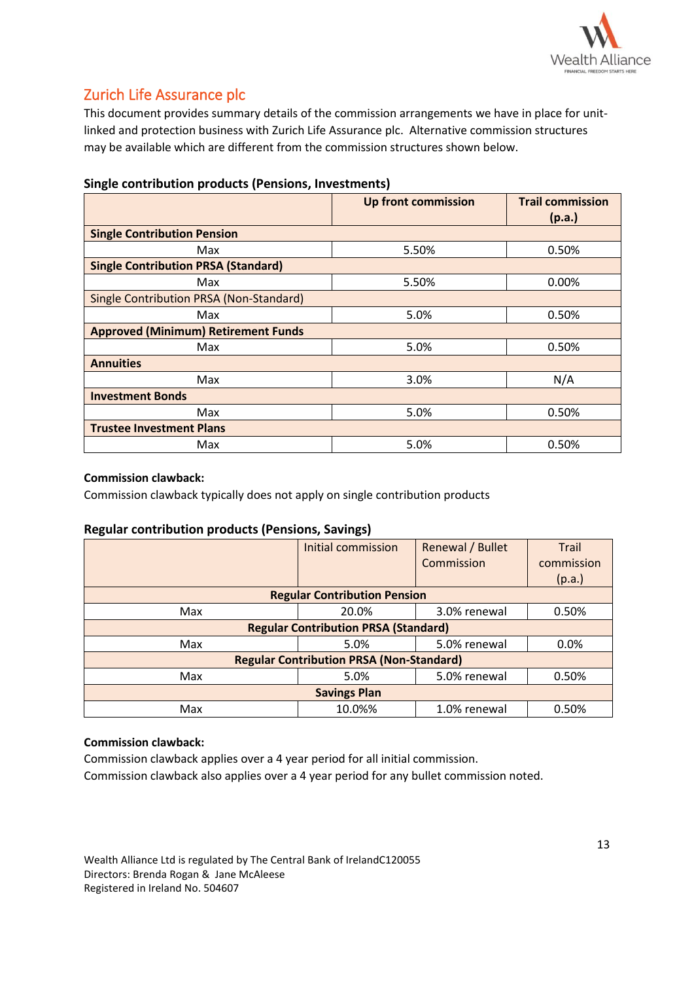

# Zurich Life Assurance plc

This document provides summary details of the commission arrangements we have in place for unitlinked and protection business with Zurich Life Assurance plc. Alternative commission structures may be available which are different from the commission structures shown below.

|                                            | <b>Up front commission</b> | <b>Trail commission</b><br>(p.a.) |  |  |  |
|--------------------------------------------|----------------------------|-----------------------------------|--|--|--|
| <b>Single Contribution Pension</b>         |                            |                                   |  |  |  |
| Max                                        | 5.50%                      | 0.50%                             |  |  |  |
| <b>Single Contribution PRSA (Standard)</b> |                            |                                   |  |  |  |
| Max                                        | 5.50%                      | 0.00%                             |  |  |  |
| Single Contribution PRSA (Non-Standard)    |                            |                                   |  |  |  |
| Max                                        | 5.0%                       | 0.50%                             |  |  |  |
| <b>Approved (Minimum) Retirement Funds</b> |                            |                                   |  |  |  |
| Max                                        | 5.0%                       | 0.50%                             |  |  |  |
| <b>Annuities</b>                           |                            |                                   |  |  |  |
| Max                                        | 3.0%                       | N/A                               |  |  |  |
| <b>Investment Bonds</b>                    |                            |                                   |  |  |  |
| Max                                        | 5.0%                       | 0.50%                             |  |  |  |
| <b>Trustee Investment Plans</b>            |                            |                                   |  |  |  |
| Max                                        | 5.0%                       | 0.50%                             |  |  |  |

### **Single contribution products (Pensions, Investments)**

### **Commission clawback:**

Commission clawback typically does not apply on single contribution products

### **Regular contribution products (Pensions, Savings)**

|                                                 | Initial commission                          | Renewal / Bullet | <b>Trail</b> |  |  |  |
|-------------------------------------------------|---------------------------------------------|------------------|--------------|--|--|--|
|                                                 |                                             | Commission       | commission   |  |  |  |
|                                                 |                                             |                  | (p.a.)       |  |  |  |
|                                                 | <b>Regular Contribution Pension</b>         |                  |              |  |  |  |
| Max                                             | 20.0%                                       | 3.0% renewal     | 0.50%        |  |  |  |
|                                                 | <b>Regular Contribution PRSA (Standard)</b> |                  |              |  |  |  |
| Max                                             | 5.0%                                        | 5.0% renewal     | 0.0%         |  |  |  |
| <b>Regular Contribution PRSA (Non-Standard)</b> |                                             |                  |              |  |  |  |
| Max                                             | 5.0%                                        | 5.0% renewal     | 0.50%        |  |  |  |
| <b>Savings Plan</b>                             |                                             |                  |              |  |  |  |
| Max                                             | 10.0%%                                      | 1.0% renewal     | 0.50%        |  |  |  |

### **Commission clawback:**

Commission clawback applies over a 4 year period for all initial commission. Commission clawback also applies over a 4 year period for any bullet commission noted.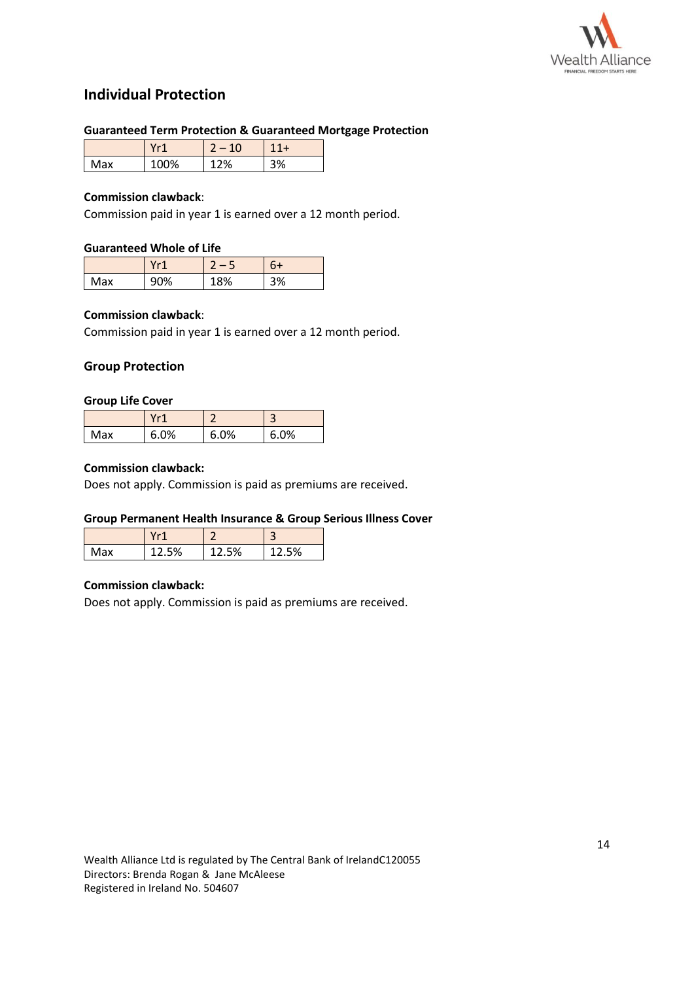

## **Individual Protection**

### **Guaranteed Term Protection & Guaranteed Mortgage Protection**

|     | $\sim$ | c  |    |
|-----|--------|----|----|
| Max | 00%    | 2% | `% |

### **Commission clawback**:

Commission paid in year 1 is earned over a 12 month period.

### **Guaranteed Whole of Life**

|     | $V - 1$ |     |    |
|-----|---------|-----|----|
| Max | 90%     | '8% | 3% |

### **Commission clawback**:

Commission paid in year 1 is earned over a 12 month period.

### **Group Protection**

#### **Group Life Cover**

|     | $V - 1$ |      | э        |
|-----|---------|------|----------|
| Max | 0%<br>h | 6.0% | .0%<br>n |

#### **Commission clawback:**

Does not apply. Commission is paid as premiums are received.

### **Group Permanent Health Insurance & Group Serious Illness Cover**

|     | $11 - 4$ |    |     |
|-----|----------|----|-----|
| Max | 5%       | 5% | .5% |

### **Commission clawback:**

Does not apply. Commission is paid as premiums are received.